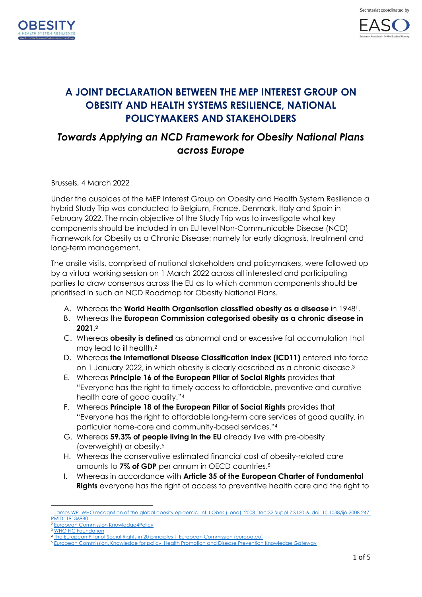



# **A JOINT DECLARATION BETWEEN THE MEP INTEREST GROUP ON OBESITY AND HEALTH SYSTEMS RESILIENCE, NATIONAL POLICYMAKERS AND STAKEHOLDERS**

## *Towards Applying an NCD Framework for Obesity National Plans across Europe*

Brussels, 4 March 2022

Under the auspices of the MEP Interest Group on Obesity and Health System Resilience a hybrid Study Trip was conducted to Belgium, France, Denmark, Italy and Spain in February 2022. The main objective of the Study Trip was to investigate what key components should be included in an EU level Non-Communicable Disease (NCD) Framework for Obesity as a Chronic Disease; namely for early diagnosis, treatment and long-term management.

The onsite visits, comprised of national stakeholders and policymakers, were followed up by a virtual working session on 1 March 2022 across all interested and participating parties to draw consensus across the EU as to which common components should be prioritised in such an NCD Roadmap for Obesity National Plans.

- A. Whereas the **World Health Organisation classified obesity as a disease** in 19481.
- B. Whereas the **European Commission categorised obesity as a chronic disease in 2021. 2**
- <span id="page-0-0"></span>C. Whereas **obesity is defined** as abnormal and or excessive fat accumulation that may lead to ill health[.](#page-0-0)<sup>2</sup>
- D. Whereas **the International Disease Classification Index (ICD11)** entered into force on 1 January 2022, in which obesity is clearly described as a chronic disease. 3
- E. Whereas **Principle 16 of the European Pillar of Social Rights** provides that "Everyone has the right to timely access to affordable, preventive and curative health care of good quality."[4](#page-0-1)
- F. Whereas **Principle 18 of the European Pillar of Social Rights** provides that "Everyone has the right to affordable long-term care services of good quality, in particular home-care and community-based services."<sup>4</sup>
- <span id="page-0-2"></span><span id="page-0-1"></span>G. Whereas **59.3% of people living in the EU** already live with pre-obesity (overweight) or obesity. 5
- H. Whereas the conservative estimated financial cost of obesity-related care amounts to **7% of GDP** per annum in OECD countries[.](#page-0-2) 5
- I. Whereas in accordance with **Article 35 of the European Charter of Fundamental Rights** everyone has the right of access to preventive health care and the right to

James WP. WHO recognition of the global obesity epidemic. Int J Obes (Lond). 2008 Dec;32 Suppl 7:S120-6. doi: 10.1038/ijo.2008.247. [PMID: 19136980.](https://pubmed.ncbi.nlm.nih.gov/19136980/)

<sup>2</sup> [European Commission Knowledge4Policy](https://knowledge4policy.ec.europa.eu/health-promotion-knowledge-gateway/obesity_en) <sup>3</sup> WHO [FIC Foundation](https://icd.who.int/dev11/f/en#/http%3A%2F%2Fid.who.int%2Ficd%2Fentity%2F149403041)

<sup>4</sup> [The European Pillar of Social Rights in 20 principles | European Commission \(europa.eu\)](https://ec.europa.eu/info/strategy/priorities-2019-2024/economy-works-people/jobs-growth-and-investment/european-pillar-social-rights/european-pillar-social-rights-20-principles_en)

<sup>5</sup> [European Commission. Knowledge for policy: Health Promotion and Disease Prevention Knowledge Gateway](https://knowledge4policy.ec.europa.eu/health-promotion-knowledge-gateway/obesity_en)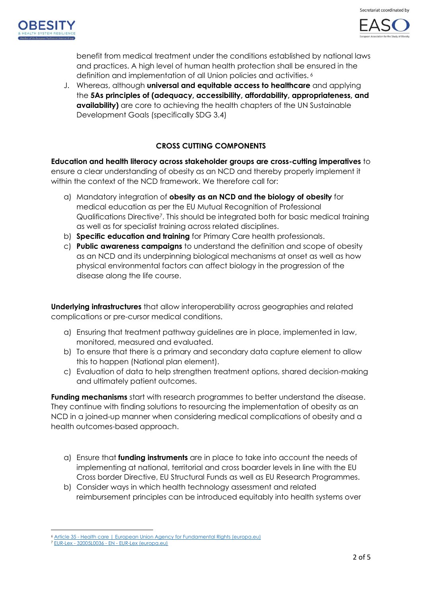



benefit from medical treatment under the conditions established by national laws and practices. A high level of human health protection shall be ensured in the definition and implementation of all Union policies and activities. <sup>6</sup>

J. Whereas, although **universal and equitable access to healthcare** and applying the **5As principles of (adequacy, accessibility, affordability, appropriateness, and availability)** are core to achieving the health chapters of the UN Sustainable Development Goals (specifically SDG 3.4)

### **CROSS CUTTING COMPONENTS**

**Education and health literacy across stakeholder groups are cross-cutting imperatives** to ensure a clear understanding of obesity as an NCD and thereby properly implement it within the context of the NCD framework. We therefore call for:

- a) Mandatory integration of **obesity as an NCD and the biology of obesity** for medical education as per the EU Mutual Recognition of Professional Qualifications Directive7. This should be integrated both for basic medical training as well as for specialist training across related disciplines.
- b) **Specific education and training** for Primary Care health professionals.
- c) **Public awareness campaigns** to understand the definition and scope of obesity as an NCD and its underpinning biological mechanisms at onset as well as how physical environmental factors can affect biology in the progression of the disease along the life course.

**Underlying infrastructures** that allow interoperability across geographies and related complications or pre-cursor medical conditions.

- a) Ensuring that treatment pathway guidelines are in place, implemented in law, monitored, measured and evaluated.
- b) To ensure that there is a primary and secondary data capture element to allow this to happen (National plan element).
- c) Evaluation of data to help strengthen treatment options, shared decision-making and ultimately patient outcomes.

**Funding mechanisms** start with research programmes to better understand the disease. They continue with finding solutions to resourcing the implementation of obesity as an NCD in a joined-up manner when considering medical complications of obesity and a health outcomes-based approach.

- a) Ensure that **funding instruments** are in place to take into account the needs of implementing at national, territorial and cross boarder levels in line with the EU Cross border Directive, EU Structural Funds as well as EU Research Programmes.
- b) Consider ways in which health technology assessment and related reimbursement principles can be introduced equitably into health systems over

Article 35 - [Health care | European Union Agency for Fundamental Rights \(europa.eu\)](https://fra.europa.eu/en/eu-charter/article/35-health-care#products)

<sup>7</sup> EUR-Lex - 32005L0036 - EN - [EUR-Lex \(europa.eu\)](https://eur-lex.europa.eu/legal-content/EN/TXT/?uri=CELEX%3A32005L0036&qid=1646061496114#d1e1633-22-1)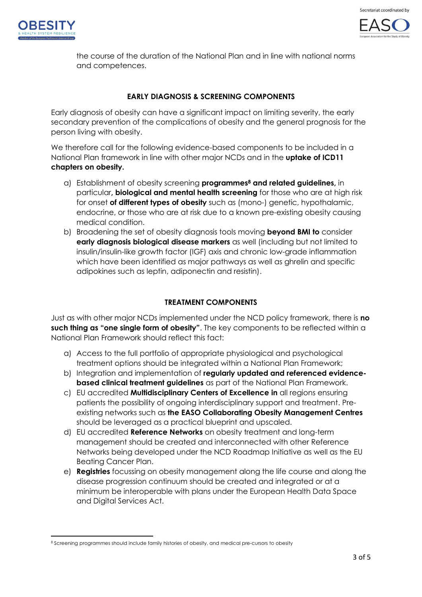



the course of the duration of the National Plan and in line with national norms and competences.

#### **EARLY DIAGNOSIS & SCREENING COMPONENTS**

Early diagnosis of obesity can have a significant impact on limiting severity, the early secondary prevention of the complications of obesity and the general prognosis for the person living with obesity.

We therefore call for the following evidence-based components to be included in a National Plan framework in line with other major NCDs and in the **uptake of ICD11 chapters on obesity.**

- a) Establishment of obesity screening **programmes<sup>8</sup> and related guidelines,** in particular**, biological and mental health screening** for those who are at high risk for onset **of different types of obesity** such as (mono-) genetic, hypothalamic, endocrine, or those who are at risk due to a known pre-existing obesity causing medical condition.
- b) Broadening the set of obesity diagnosis tools moving **beyond BMI to** consider **early diagnosis biological disease markers** as well (including but not limited to insulin/insulin-like growth factor (IGF) axis and chronic low-grade inflammation which have been identified as major pathways as well as ghrelin and specific adipokines such as leptin, adiponectin and resistin).

### **TREATMENT COMPONENTS**

Just as with other major NCDs implemented under the NCD policy framework, there is **no such thing as "one single form of obesity"**. The key components to be reflected within a National Plan Framework should reflect this fact:

- a) Access to the full portfolio of appropriate physiological and psychological treatment options should be integrated within a National Plan Framework;
- b) Integration and implementation of **regularly updated and referenced evidencebased clinical treatment guidelines** as part of the National Plan Framework.
- c) EU accredited **Multidisciplinary Centers of Excellence in** all regions ensuring patients the possibility of ongoing interdisciplinary support and treatment. Preexisting networks such as **the EASO Collaborating Obesity Management Centres** should be leveraged as a practical blueprint and upscaled.
- d) EU accredited **Reference Networks** on obesity treatment and long-term management should be created and interconnected with other Reference Networks being developed under the NCD Roadmap Initiative as well as the EU Beating Cancer Plan.
- e) **Registries** focussing on obesity management along the life course and along the disease progression continuum should be created and integrated or at a minimum be interoperable with plans under the European Health Data Space and Digital Services Act.

<sup>8</sup> Screening programmes should include family histories of obesity, and medical pre-cursors to obesity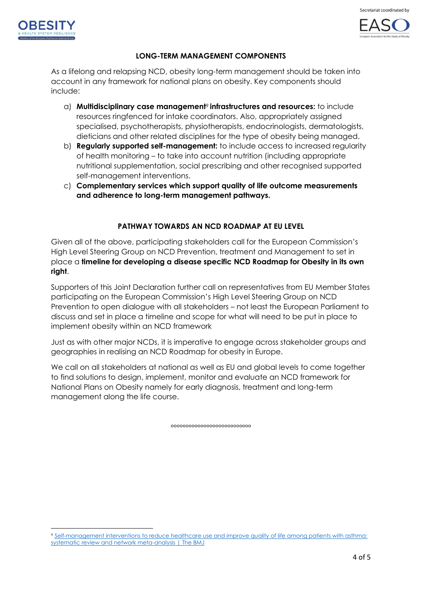



#### **LONG-TERM MANAGEMENT COMPONENTS**

As a lifelong and relapsing NCD, obesity long-term management should be taken into account in any framework for national plans on obesity. Key components should include:

- a) **Multidisciplinary case management**<sup>9</sup> **infrastructures and resources:** to include resources ringfenced for intake coordinators. Also, appropriately assigned specialised, psychotherapists, physiotherapists, endocrinologists, dermatologists, dieticians and other related disciplines for the type of obesity being managed.
- b) **Regularly supported self-management:** to include access to increased regularity of health monitoring – to take into account nutrition (including appropriate nutritional supplementation, social prescribing and other recognised supported self-management interventions.
- c) **Complementary services which support quality of life outcome measurements and adherence to long-term management pathways.**

#### **PATHWAY TOWARDS AN NCD ROADMAP AT EU LEVEL**

Given all of the above, participating stakeholders call for the European Commission's High Level Steering Group on NCD Prevention, treatment and Management to set in place a **timeline for developing a disease specific NCD Roadmap for Obesity in its own right**.

Supporters of this Joint Declaration further call on representatives from EU Member States participating on the European Commission's High Level Steering Group on NCD Prevention to open dialogue with all stakeholders – not least the European Parliament to discuss and set in place a timeline and scope for what will need to be put in place to implement obesity within an NCD framework

Just as with other major NCDs, it is imperative to engage across stakeholder groups and geographies in realising an NCD Roadmap for obesity in Europe.

We call on all stakeholders at national as well as EU and global levels to come together to find solutions to design, implement, monitor and evaluate an NCD framework for National Plans on Obesity namely for early diagnosis, treatment and long-term management along the life course.

°°°°°°°°°°°°°°°°°°°°°°°°°°°

<sup>9</sup> Self-management interventions to reduce healthcare use and improve quality of life among patients with asthma: [systematic review and network meta-analysis | The BMJ](https://www.bmj.com/content/370/bmj.m2521)